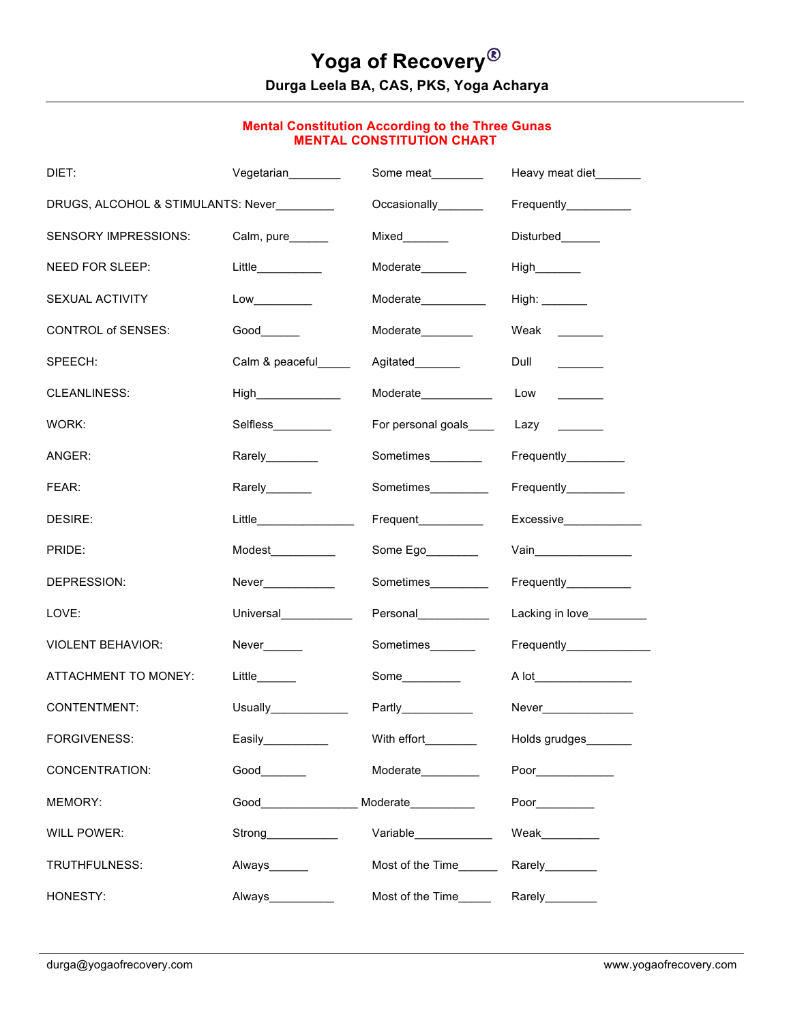# **Yoga of Recovery**® **Durga Leela BA, CAS, PKS, Yoga Acharya**

#### **Mental Constitution According to the Three Gunas MENTAL CONSTITUTION CHART**

| DIET:                              | Vegetarian                                                                                                     | Some meat              | Heavy meat diet_______                                |  |
|------------------------------------|----------------------------------------------------------------------------------------------------------------|------------------------|-------------------------------------------------------|--|
| DRUGS, ALCOHOL & STIMULANTS: Never |                                                                                                                | Occasionally_______    | Frequently__________                                  |  |
| SENSORY IMPRESSIONS:               | Calm, pure______                                                                                               | Mixed_______           | Disturbed______                                       |  |
| NEED FOR SLEEP:                    | Little__________                                                                                               | Moderate_______        |                                                       |  |
| SEXUAL ACTIVITY                    |                                                                                                                | Moderate__________     |                                                       |  |
| <b>CONTROL of SENSES:</b>          | Good                                                                                                           | Moderate________       | Weak $\frac{1}{\sqrt{1-\frac{1}{2}}\cdot\frac{1}{2}}$ |  |
| SPEECH:                            | Calm & peaceful_____                                                                                           | Agitated_______        | Dull<br>$\overline{\phantom{a}}$                      |  |
| CLEANLINESS:                       |                                                                                                                | Moderate____________   | Low                                                   |  |
| WORK:                              | Selfless__________                                                                                             | For personal goals____ | Lazy<br><u>and the state</u>                          |  |
| ANGER:                             | Rarely________                                                                                                 | Sometimes________      | Frequently_________                                   |  |
| FEAR:                              | Rarely_______                                                                                                  | Sometimes__________    | Frequently_________                                   |  |
| DESIRE:                            | $Little \underline{\hspace{2cm}} \underline{\hspace{2cm}}$                                                     | Frequent               | Excessive                                             |  |
| PRIDE:                             | Modest___________                                                                                              | Some Ego               |                                                       |  |
| DEPRESSION:                        | Never____________                                                                                              | Sometimes__________    | Frequently__________                                  |  |
| LOVE:                              | Universal____________                                                                                          | Personal_____________  | Lacking in love__________                             |  |
| <b>VIOLENT BEHAVIOR:</b>           | Never______                                                                                                    | Sometimes_______       | Frequently_____________                               |  |
| <b>ATTACHMENT TO MONEY:</b>        | Little                                                                                                         | Some_________          | A lot                                                 |  |
| <b>CONTENTMENT:</b>                |                                                                                                                |                        | Never_______________                                  |  |
| FORGIVENESS:                       | Easily__________                                                                                               | With effort________    | Holds grudges                                         |  |
| <b>CONCENTRATION:</b>              |                                                                                                                | Moderate_________      | Poor                                                  |  |
| MEMORY:                            | Good in the state of the state of the state of the state of the state of the state of the state of the state o | Moderate               |                                                       |  |
| <b>WILL POWER:</b>                 | Strong____________                                                                                             | Variable____________   | Weak_________                                         |  |
| TRUTHFULNESS:                      | Always______                                                                                                   | Most of the Time______ | Rarely________                                        |  |
| HONESTY:                           | Always___________                                                                                              | Most of the Time_____  | Rarely________                                        |  |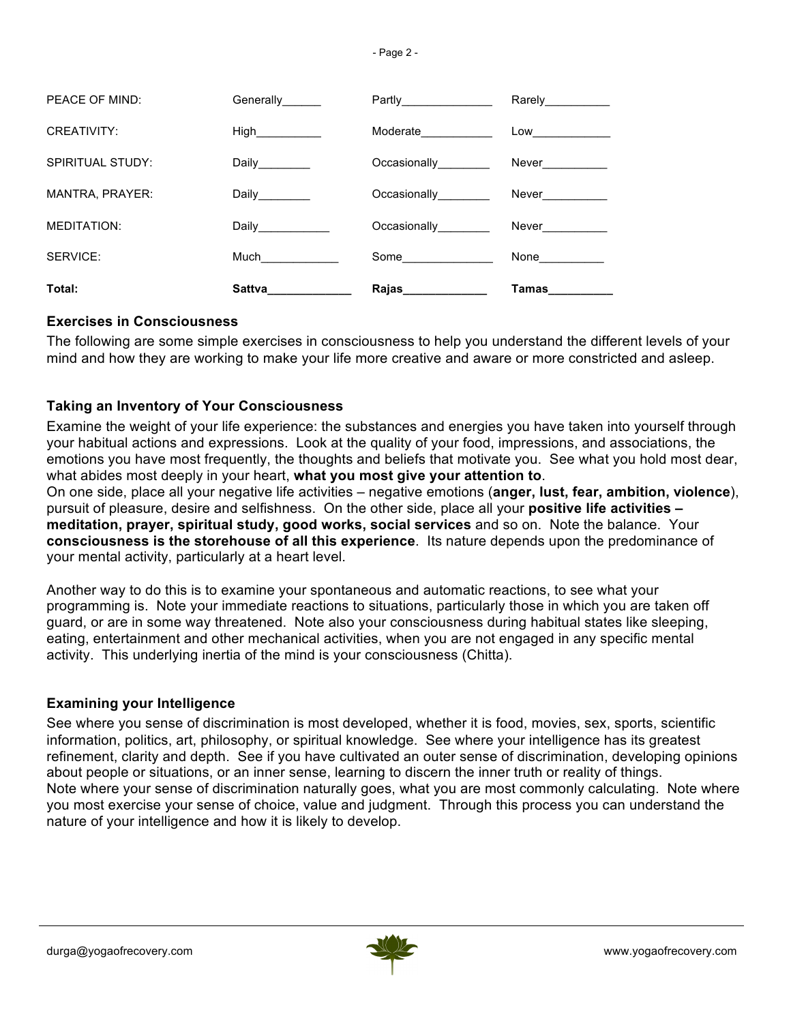| PEACE OF MIND:         | Generally                                                                                                                                                                                                                           | Partly_______________             | Rarely___________ |
|------------------------|-------------------------------------------------------------------------------------------------------------------------------------------------------------------------------------------------------------------------------------|-----------------------------------|-------------------|
| CREATIVITY:            | High____________                                                                                                                                                                                                                    | Moderate 1997                     | $Low \_\_$        |
| SPIRITUAL STUDY:       | Daily________                                                                                                                                                                                                                       | Occasionally________              | Never__________   |
| <b>MANTRA, PRAYER:</b> | Daily________                                                                                                                                                                                                                       | Occasionally________              | Never__________   |
| <b>MEDITATION:</b>     | Daily_____________                                                                                                                                                                                                                  | Occasionally________              | Never __________  |
| SERVICE:               | Much                                                                                                                                                                                                                                | Some                              | None__________    |
| Total:                 | <b>Sattva</b> and the same of the same of the same of the same of the same of the same of the same of the same of the same of the same of the same of the same of the same of the same of the same of the same of the same of the s | <b>Rajas</b> and the <b>Rajas</b> | Tamas             |

#### **Exercises in Consciousness**

The following are some simple exercises in consciousness to help you understand the different levels of your mind and how they are working to make your life more creative and aware or more constricted and asleep.

### **Taking an Inventory of Your Consciousness**

Examine the weight of your life experience: the substances and energies you have taken into yourself through your habitual actions and expressions. Look at the quality of your food, impressions, and associations, the emotions you have most frequently, the thoughts and beliefs that motivate you. See what you hold most dear, what abides most deeply in your heart, **what you most give your attention to**. On one side, place all your negative life activities – negative emotions (**anger, lust, fear, ambition, violence**), pursuit of pleasure, desire and selfishness. On the other side, place all your **positive life activities – meditation, prayer, spiritual study, good works, social services** and so on. Note the balance. Your **consciousness is the storehouse of all this experience**. Its nature depends upon the predominance of your mental activity, particularly at a heart level.

Another way to do this is to examine your spontaneous and automatic reactions, to see what your programming is. Note your immediate reactions to situations, particularly those in which you are taken off guard, or are in some way threatened. Note also your consciousness during habitual states like sleeping, eating, entertainment and other mechanical activities, when you are not engaged in any specific mental activity. This underlying inertia of the mind is your consciousness (Chitta).

#### **Examining your Intelligence**

See where you sense of discrimination is most developed, whether it is food, movies, sex, sports, scientific information, politics, art, philosophy, or spiritual knowledge. See where your intelligence has its greatest refinement, clarity and depth. See if you have cultivated an outer sense of discrimination, developing opinions about people or situations, or an inner sense, learning to discern the inner truth or reality of things. Note where your sense of discrimination naturally goes, what you are most commonly calculating. Note where you most exercise your sense of choice, value and judgment. Through this process you can understand the nature of your intelligence and how it is likely to develop.